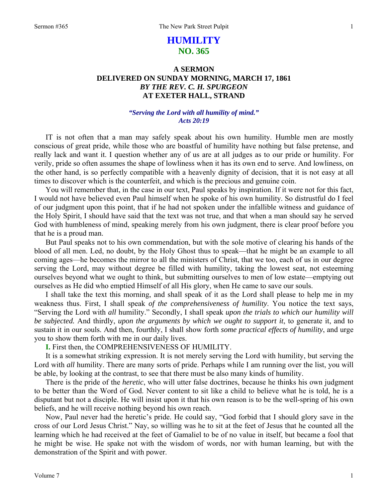# **HUMILITY NO. 365**

## **A SERMON DELIVERED ON SUNDAY MORNING, MARCH 17, 1861**  *BY THE REV. C. H. SPURGEON*  **AT EXETER HALL, STRAND**

### *"Serving the Lord with all humility of mind." Acts 20:19*

IT is not often that a man may safely speak about his own humility. Humble men are mostly conscious of great pride, while those who are boastful of humility have nothing but false pretense, and really lack and want it. I question whether any of us are at all judges as to our pride or humility. For verily, pride so often assumes the shape of lowliness when it has its own end to serve. And lowliness, on the other hand, is so perfectly compatible with a heavenly dignity of decision, that it is not easy at all times to discover which is the counterfeit, and which is the precious and genuine coin.

You will remember that, in the case in our text, Paul speaks by inspiration. If it were not for this fact, I would not have believed even Paul himself when he spoke of his own humility. So distrustful do I feel of our judgment upon this point, that if he had not spoken under the infallible witness and guidance of the Holy Spirit, I should have said that the text was not true, and that when a man should say he served God with humbleness of mind, speaking merely from his own judgment, there is clear proof before you that he is a proud man.

But Paul speaks not to his own commendation, but with the sole motive of clearing his hands of the blood of all men. Led, no doubt, by the Holy Ghost thus to speak—that he might be an example to all coming ages—he becomes the mirror to all the ministers of Christ, that we too, each of us in our degree serving the Lord, may without degree be filled with humility, taking the lowest seat, not esteeming ourselves beyond what we ought to think, but submitting ourselves to men of low estate—emptying out ourselves as He did who emptied Himself of all His glory, when He came to save our souls.

I shall take the text this morning, and shall speak of it as the Lord shall please to help me in my weakness thus. First, I shall speak *of the comprehensiveness of humility*. You notice the text says, "Serving the Lord with *all* humility." Secondly, I shall speak *upon the trials to which our humility will be subjected.* And thirdly, *upon the arguments by which we ought to support it*, to generate it, and to sustain it in our souls. And then, fourthly, I shall show forth *some practical effects of humility*, and urge you to show them forth with me in our daily lives.

**I.** First then, the COMPREHENSIVENESS OF HUMILITY.

It is a somewhat striking expression. It is not merely serving the Lord with humility, but serving the Lord with *all* humility. There are many sorts of pride. Perhaps while I am running over the list, you will be able, by looking at the contrast, to see that there must be also many kinds of humility.

There is the pride of the *heretic*, who will utter false doctrines, because he thinks his own judgment to be better than the Word of God. Never content to sit like a child to believe what he is told, he is a disputant but not a disciple. He will insist upon it that his own reason is to be the well-spring of his own beliefs, and he will receive nothing beyond his own reach.

Now, Paul never had the heretic's pride. He could say, "God forbid that I should glory save in the cross of our Lord Jesus Christ." Nay, so willing was he to sit at the feet of Jesus that he counted all the learning which he had received at the feet of Gamaliel to be of no value in itself, but became a fool that he might be wise. He spake not with the wisdom of words, nor with human learning, but with the demonstration of the Spirit and with power.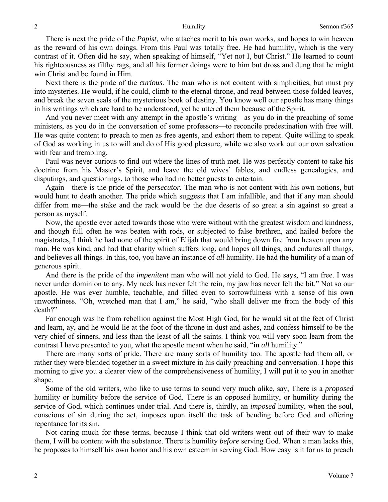There is next the pride of the *Papist*, who attaches merit to his own works, and hopes to win heaven as the reward of his own doings. From this Paul was totally free. He had humility, which is the very contrast of it. Often did he say, when speaking of himself, "Yet not I, but Christ." He learned to count his righteousness as filthy rags, and all his former doings were to him but dross and dung that he might win Christ and be found in Him.

Next there is the pride of the *curious*. The man who is not content with simplicities, but must pry into mysteries. He would, if he could, climb to the eternal throne, and read between those folded leaves, and break the seven seals of the mysterious book of destiny. You know well our apostle has many things in his writings which are hard to be understood, yet he uttered them because of the Spirit.

And you never meet with any attempt in the apostle's writing—as you do in the preaching of some ministers, as you do in the conversation of some professors—to reconcile predestination with free will. He was quite content to preach to men as free agents, and exhort them to repent. Quite willing to speak of God as working in us to will and do of His good pleasure, while we also work out our own salvation with fear and trembling.

Paul was never curious to find out where the lines of truth met. He was perfectly content to take his doctrine from his Master's Spirit, and leave the old wives' fables, and endless genealogies, and disputings, and questionings, to those who had no better guests to entertain.

Again—there is the pride of the *persecutor.* The man who is not content with his own notions, but would hunt to death another. The pride which suggests that I am infallible, and that if any man should differ from me—the stake and the rack would be the due deserts of so great a sin against so great a person as myself.

Now, the apostle ever acted towards those who were without with the greatest wisdom and kindness, and though full often he was beaten with rods, or subjected to false brethren, and hailed before the magistrates, I think he had none of the spirit of Elijah that would bring down fire from heaven upon any man. He was kind, and had that charity which suffers long, and hopes all things, and endures all things, and believes all things. In this, too, you have an instance of *all* humility. He had the humility of a man of generous spirit.

And there is the pride of the *impenitent* man who will not yield to God. He says, "I am free. I was never under dominion to any. My neck has never felt the rein, my jaw has never felt the bit." Not so our apostle. He was ever humble, teachable, and filled even to sorrowfulness with a sense of his own unworthiness. "Oh, wretched man that I am," he said, "who shall deliver me from the body of this death?"

Far enough was he from rebellion against the Most High God, for he would sit at the feet of Christ and learn, ay, and he would lie at the foot of the throne in dust and ashes, and confess himself to be the very chief of sinners, and less than the least of all the saints. I think you will very soon learn from the contrast I have presented to you, what the apostle meant when he said, "in *all* humility."

There are many sorts of pride. There are many sorts of humility too. The apostle had them all, or rather they were blended together in a sweet mixture in his daily preaching and conversation. I hope this morning to give you a clearer view of the comprehensiveness of humility, I will put it to you in another shape.

Some of the old writers, who like to use terms to sound very much alike, say, There is a *proposed*  humility or humility before the service of God. There is an *opposed* humility, or humility during the service of God, which continues under trial. And there is, thirdly, an *imposed* humility, when the soul, conscious of sin during the act, imposes upon itself the task of bending before God and offering repentance for its sin.

Not caring much for these terms, because I think that old writers went out of their way to make them, I will be content with the substance. There is humility *before* serving God. When a man lacks this, he proposes to himself his own honor and his own esteem in serving God. How easy is it for us to preach

2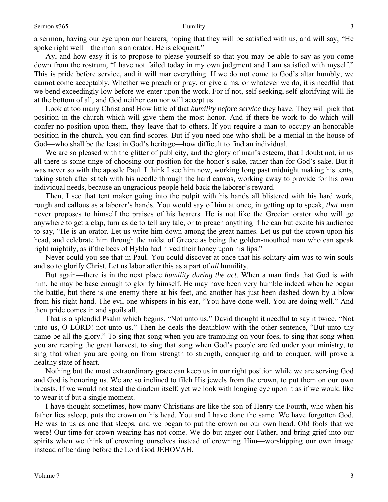a sermon, having our eye upon our hearers, hoping that they will be satisfied with us, and will say, "He spoke right well—the man is an orator. He is eloquent."

Ay, and how easy it is to propose to please yourself so that you may be able to say as you come down from the rostrum, "I have not failed today in my own judgment and I am satisfied with myself." This is pride before service, and it will mar everything. If we do not come to God's altar humbly, we cannot come acceptably. Whether we preach or pray, or give alms, or whatever we do, it is needful that we bend exceedingly low before we enter upon the work. For if not, self-seeking, self-glorifying will lie at the bottom of all, and God neither can nor will accept us.

Look at too many Christians! How little of that *humility before service* they have. They will pick that position in the church which will give them the most honor. And if there be work to do which will confer no position upon them, they leave that to others. If you require a man to occupy an honorable position in the church, you can find scores. But if you need one who shall be a menial in the house of God—who shall be the least in God's heritage—how difficult to find an individual.

We are so pleased with the glitter of publicity, and the glory of man's esteem, that I doubt not, in us all there is some tinge of choosing our position for the honor's sake, rather than for God's sake. But it was never so with the apostle Paul. I think I see him now, working long past midnight making his tents, taking stitch after stitch with his needle through the hard canvas, working away to provide for his own individual needs, because an ungracious people held back the laborer's reward.

Then, I see that tent maker going into the pulpit with his hands all blistered with his hard work, rough and callous as a laborer's hands. You would say of him at once, in getting up to speak, *that* man never proposes to himself the praises of his hearers. He is not like the Grecian orator who will go anywhere to get a clap, turn aside to tell any tale, or to preach anything if he can but excite his audience to say, "He is an orator. Let us write him down among the great names. Let us put the crown upon his head, and celebrate him through the midst of Greece as being the golden-mouthed man who can speak right mightily, as if the bees of Hybla had hived their honey upon his lips."

Never could you see that in Paul. You could discover at once that his solitary aim was to win souls and so to glorify Christ. Let us labor after this as a part of *all* humility.

But again—there is in the next place *humility during the act*. When a man finds that God is with him, he may be base enough to glorify himself. He may have been very humble indeed when he began the battle, but there is one enemy there at his feet, and another has just been dashed down by a blow from his right hand. The evil one whispers in his ear, "You have done well. You are doing well." And then pride comes in and spoils all.

That is a splendid Psalm which begins, "Not unto us." David thought it needful to say it twice. "Not unto us, O LORD! not unto us." Then he deals the deathblow with the other sentence, "But unto thy name be all the glory." To sing that song when you are trampling on your foes, to sing that song when you are reaping the great harvest, to sing that song when God's people are fed under your ministry, to sing that when you are going on from strength to strength, conquering and to conquer, will prove a healthy state of heart.

Nothing but the most extraordinary grace can keep us in our right position while we are serving God and God is honoring us. We are so inclined to filch His jewels from the crown, to put them on our own breasts. If we would not steal the diadem itself, yet we look with longing eye upon it as if we would like to wear it if but a single moment.

I have thought sometimes, how many Christians are like the son of Henry the Fourth, who when his father lies asleep, puts the crown on his head. You and I have done the same. We have forgotten God. He was to us as one that sleeps, and we began to put the crown on our own head. Oh! fools that we were! Our time for crown-wearing has not come. We do but anger our Father, and bring grief into our spirits when we think of crowning ourselves instead of crowning Him—worshipping our own image instead of bending before the Lord God JEHOVAH.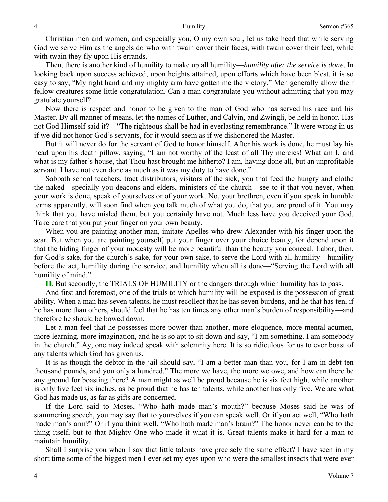Christian men and women, and especially you, O my own soul, let us take heed that while serving God we serve Him as the angels do who with twain cover their faces, with twain cover their feet, while with twain they fly upon His errands.

Then, there is another kind of humility to make up all humility—*humility after the service is done*. In looking back upon success achieved, upon heights attained, upon efforts which have been blest, it is so easy to say, "My right hand and my mighty arm have gotten me the victory." Men generally allow their fellow creatures some little congratulation. Can a man *con*gratulate you without admitting that you may gratulate yourself?

Now there is respect and honor to be given to the man of God who has served his race and his Master. By all manner of means, let the names of Luther, and Calvin, and Zwingli, be held in honor. Has not God Himself said it?—"The righteous shall be had in everlasting remembrance." It were wrong in us if we did not honor God's servants, for it would seem as if we dishonored the Master.

But it will never do for the servant of God to honor himself. After his work is done, he must lay his head upon his death pillow, saying, "I am not worthy of the least of all Thy mercies! What am I, and what is my father's house, that Thou hast brought me hitherto? I am, having done all, but an unprofitable servant. I have not even done as much as it was my duty to have done."

Sabbath school teachers, tract distributors, visitors of the sick, you that feed the hungry and clothe the naked—specially you deacons and elders, ministers of the church—see to it that you never, when your work is done, speak of yourselves or of your work. No, your brethren, even if you speak in humble terms apparently, will soon find when you talk much of what you do, that you are proud of it. You may think that you have misled them, but you certainly have not. Much less have you deceived your God. Take care that you put your finger on your own beauty.

When you are painting another man, imitate Apelles who drew Alexander with his finger upon the scar. But when you are painting yourself, put your finger over your choice beauty, for depend upon it that the hiding finger of your modesty will be more beautiful than the beauty you conceal. Labor, then, for God's sake, for the church's sake, for your own sake, to serve the Lord with all humility—humility before the act, humility during the service, and humility when all is done—"Serving the Lord with all humility of mind."

**II.** But secondly, the TRIALS OF HUMILITY or the dangers through which humility has to pass.

And first and foremost, one of the trials to which humility will be exposed is the possession of great ability. When a man has seven talents, he must recollect that he has seven burdens, and he that has ten, if he has more than others, should feel that he has ten times any other man's burden of responsibility—and therefore he should be bowed down.

Let a man feel that he possesses more power than another, more eloquence, more mental acumen, more learning, more imagination, and he is so apt to sit down and say, "I am something. I am somebody in the church." Ay, one may indeed speak with solemnity here. It is so ridiculous for us to ever boast of any talents which God has given us.

It is as though the debtor in the jail should say, "I am a better man than you, for I am in debt ten thousand pounds, and you only a hundred." The more we have, the more we owe, and how can there be any ground for boasting there? A man might as well be proud because he is six feet high, while another is only five feet six inches, as be proud that he has ten talents, while another has only five. We are what God has made us, as far as gifts are concerned.

If the Lord said to Moses, "Who hath made man's mouth?" because Moses said he was of stammering speech, you may say that to yourselves if you can speak well. Or if you act well, "Who hath made man's arm?" Or if you think well, "Who hath made man's brain?" The honor never can be to the thing itself, but to that Mighty One who made it what it is. Great talents make it hard for a man to maintain humility.

Shall I surprise you when I say that little talents have precisely the same effect? I have seen in my short time some of the biggest men I ever set my eyes upon who were the smallest insects that were ever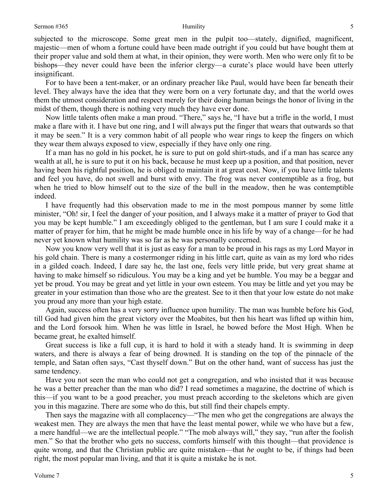### Sermon #365 Humility

subjected to the microscope. Some great men in the pulpit too—stately, dignified, magnificent, majestic—men of whom a fortune could have been made outright if you could but have bought them at their proper value and sold them at what, in their opinion, they were worth. Men who were only fit to be bishops—they never could have been the inferior clergy—a curate's place would have been utterly insignificant.

For to have been a tent-maker, or an ordinary preacher like Paul, would have been far beneath their level. They always have the idea that they were born on a very fortunate day, and that the world owes them the utmost consideration and respect merely for their doing human beings the honor of living in the midst of them, though there is nothing very much they have ever done.

Now little talents often make a man proud. "There," says he, "I have but a trifle in the world, I must make a flare with it. I have but one ring, and I will always put the finger that wears that outwards so that it may be seen." It is a very common habit of all people who wear rings to keep the fingers on which they wear them always exposed to view, especially if they have only one ring.

If a man has no gold in his pocket, he is sure to put on gold shirt-studs, and if a man has scarce any wealth at all, he is sure to put it on his back, because he must keep up a position, and that position, never having been his rightful position, he is obliged to maintain it at great cost. Now, if you have little talents and feel you have, do not swell and burst with envy. The frog was never contemptible as a frog, but when he tried to blow himself out to the size of the bull in the meadow, then he was contemptible indeed.

I have frequently had this observation made to me in the most pompous manner by some little minister, "Oh! sir, I feel the danger of your position, and I always make it a matter of prayer to God that you may be kept humble." I am exceedingly obliged to the gentleman, but I am sure I could make it a matter of prayer for him, that he might be made humble once in his life by way of a change—for he had never yet known what humility was so far as he was personally concerned.

Now you know very well that it is just as easy for a man to be proud in his rags as my Lord Mayor in his gold chain. There is many a costermonger riding in his little cart, quite as vain as my lord who rides in a gilded coach. Indeed, I dare say he, the last one, feels very little pride, but very great shame at having to make himself so ridiculous. You may be a king and yet be humble. You may be a beggar and yet be proud. You may be great and yet little in your own esteem. You may be little and yet you may be greater in your estimation than those who are the greatest. See to it then that your low estate do not make you proud any more than your high estate.

Again, success often has a very sorry influence upon humility. The man was humble before his God, till God had given him the great victory over the Moabites, but then his heart was lifted up within him, and the Lord forsook him. When he was little in Israel, he bowed before the Most High. When he became great, he exalted himself.

Great success is like a full cup, it is hard to hold it with a steady hand. It is swimming in deep waters, and there is always a fear of being drowned. It is standing on the top of the pinnacle of the temple, and Satan often says, "Cast thyself down." But on the other hand, want of success has just the same tendency.

Have you not seen the man who could not get a congregation, and who insisted that it was because he was a better preacher than the man who did? I read sometimes a magazine, the doctrine of which is this—if you want to be a good preacher, you must preach according to the skeletons which are given you in this magazine. There are some who do this, but still find their chapels empty.

Then says the magazine with all complacency—"The men who get the congregations are always the weakest men. They are always the men that have the least mental power, while we who have but a few, a mere handful—we are the intellectual people." "The mob always will," they say, "run after the foolish men." So that the brother who gets no success, comforts himself with this thought—that providence is quite wrong, and that the Christian public are quite mistaken—that *he* ought to be, if things had been right, the most popular man living, and that it is quite a mistake he is not.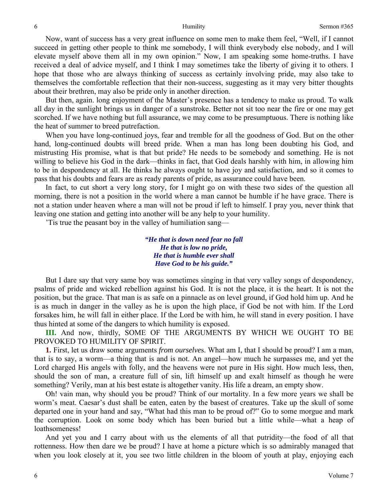Now, want of success has a very great influence on some men to make them feel, "Well, if I cannot succeed in getting other people to think me somebody, I will think everybody else nobody, and I will elevate myself above them all in my own opinion." Now, I am speaking some home-truths. I have received a deal of advice myself, and I think I may sometimes take the liberty of giving it to others. I hope that those who are always thinking of success as certainly involving pride, may also take to themselves the comfortable reflection that their non-success, suggesting as it may very bitter thoughts about their brethren, may also be pride only in another direction.

But then, again. long enjoyment of the Master's presence has a tendency to make us proud. To walk all day in the sunlight brings us in danger of a sunstroke. Better not sit too near the fire or one may get scorched. If we have nothing but full assurance, we may come to be presumptuous. There is nothing like the heat of summer to breed putrefaction.

When you have long-continued joys, fear and tremble for all the goodness of God. But on the other hand, long-continued doubts will breed pride. When a man has long been doubting his God, and mistrusting His promise, what is that but pride? He needs to be somebody and something. He is not willing to believe his God in the dark—thinks in fact, that God deals harshly with him, in allowing him to be in despondency at all. He thinks he always ought to have joy and satisfaction, and so it comes to pass that his doubts and fears are as ready parents of pride, as assurance could have been.

In fact, to cut short a very long story, for I might go on with these two sides of the question all morning, there is not a position in the world where a man cannot be humble if he have grace. There is not a station under heaven where a man will not be proud if left to himself. I pray you, never think that leaving one station and getting into another will be any help to your humility.

'Tis true the peasant boy in the valley of humiliation sang—

*"He that is down need fear no fall He that is low no pride, He that is humble ever shall Have God to be his guide."* 

But I dare say that very same boy was sometimes singing in that very valley songs of despondency, psalms of pride and wicked rebellion against his God. It is not the place, it is the heart. It is not the position, but the grace. That man is as safe on a pinnacle as on level ground, if God hold him up. And he is as much in danger in the valley as he is upon the high place, if God be not with him. If the Lord forsakes him, he will fall in either place. If the Lord be with him, he will stand in every position. I have thus hinted at some of the dangers to which humility is exposed.

**III.** And now, thirdly, SOME OF THE ARGUMENTS BY WHICH WE OUGHT TO BE PROVOKED TO HUMILITY OF SPIRIT.

**1.** First, let us draw some arguments *from ourselve*s. What am I, that I should be proud? I am a man, that is to say, a worm—a thing that is and is not. An angel—how much he surpasses me, and yet the Lord charged His angels with folly, and the heavens were not pure in His sight. How much less, then, should the son of man, a creature full of sin, lift himself up and exalt himself as though he were something? Verily, man at his best estate is altogether vanity. His life a dream, an empty show.

Oh! vain man, why should you be proud? Think of our mortality. In a few more years we shall be worm's meat. Caesar's dust shall be eaten, eaten by the basest of creatures. Take up the skull of some departed one in your hand and say, "What had this man to be proud of?" Go to some morgue and mark the corruption. Look on some body which has been buried but a little while—what a heap of loathsomeness!

And yet you and I carry about with us the elements of all that putridity—the food of all that rottenness. How then dare we be proud? I have at home a picture which is so admirably managed that when you look closely at it, you see two little children in the bloom of youth at play, enjoying each

6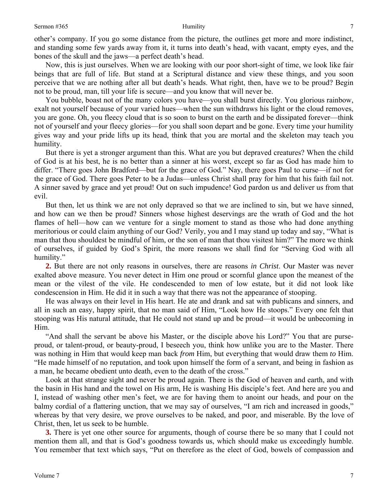other's company. If you go some distance from the picture, the outlines get more and more indistinct, and standing some few yards away from it, it turns into death's head, with vacant, empty eyes, and the bones of the skull and the jaws—a perfect death's head.

Now, this is just ourselves. When we are looking with our poor short-sight of time, we look like fair beings that are full of life. But stand at a Scriptural distance and view these things, and you soon perceive that we are nothing after all but death's heads. What right, then, have we to be proud? Begin not to be proud, man, till your life is secure—and you know that will never be.

You bubble, boast not of the many colors you have—you shall burst directly. You glorious rainbow, exalt not yourself because of your varied hues—when the sun withdraws his light or the cloud removes, you are gone. Oh, you fleecy cloud that is so soon to burst on the earth and be dissipated forever—think not of yourself and your fleecy glories—for you shall soon depart and be gone. Every time your humility gives way and your pride lifts up its head, think that you are mortal and the skeleton may teach you humility.

But there is yet a stronger argument than this. What are you but depraved creatures? When the child of God is at his best, he is no better than a sinner at his worst, except so far as God has made him to differ. "There goes John Bradford—but for the grace of God." Nay, there goes Paul to curse—if not for the grace of God. There goes Peter to be a Judas—unless Christ shall pray for him that his faith fail not. A sinner saved by grace and yet proud! Out on such impudence! God pardon us and deliver us from that evil.

But then, let us think we are not only depraved so that we are inclined to sin, but we have sinned, and how can we then be proud? Sinners whose highest deservings are the wrath of God and the hot flames of hell—how can we venture for a single moment to stand as those who had done anything meritorious or could claim anything of our God? Verily, you and I may stand up today and say, "What is man that thou shouldest be mindful of him, or the son of man that thou visitest him?" The more we think of ourselves, if guided by God's Spirit, the more reasons we shall find for "Serving God with all humility."

**2.** But there are not only reasons in ourselves, there are reasons *in Christ*. Our Master was never exalted above measure. You never detect in Him one proud or scornful glance upon the meanest of the mean or the vilest of the vile. He condescended to men of low estate, but it did not look like condescension in Him. He did it in such a way that there was not the appearance of stooping.

He was always on their level in His heart. He ate and drank and sat with publicans and sinners, and all in such an easy, happy spirit, that no man said of Him, "Look how He stoops." Every one felt that stooping was His natural attitude, that He could not stand up and be proud—it would be unbecoming in Him.

"And shall the servant be above his Master, or the disciple above his Lord?" You that are purseproud, or talent-proud, or beauty-proud, I beseech you, think how unlike you are to the Master. There was nothing in Him that would keep man back *from* Him, but everything that would draw them *to* Him. "He made himself of no reputation, and took upon himself the form of a servant, and being in fashion as a man, he became obedient unto death, even to the death of the cross."

Look at that strange sight and never be proud again. There is the God of heaven and earth, and with the basin in His hand and the towel on His arm, He is washing His disciple's feet. And here are you and I, instead of washing other men's feet, we are for having them to anoint our heads, and pour on the balmy cordial of a flattering unction, that we may say of ourselves, "I am rich and increased in goods," whereas by that very desire, we prove ourselves to be naked, and poor, and miserable. By the love of Christ, then, let us seek to be humble.

**3.** There is yet one other source for arguments, though of course there be so many that I could not mention them all, and that is God's goodness towards us, which should make us exceedingly humble. You remember that text which says, "Put on therefore as the elect of God, bowels of compassion and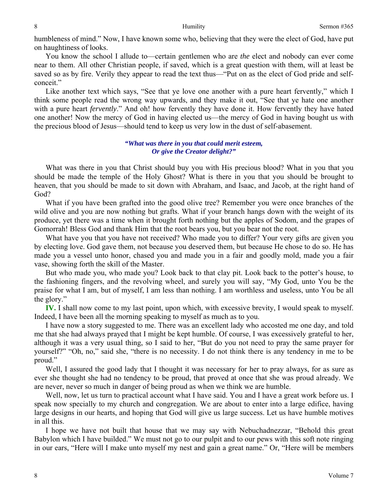humbleness of mind." Now, I have known some who, believing that they were the elect of God, have put on haughtiness of looks.

You know the school I allude to—certain gentlemen who are *the* elect and nobody can ever come near to them. All other Christian people, if saved, which is a great question with them, will at least be saved so as by fire. Verily they appear to read the text thus—"Put on as the elect of God pride and selfconceit."

Like another text which says, "See that ye love one another with a pure heart fervently," which I think some people read the wrong way upwards, and they make it out, "See that ye hate one another with a pure heart *fervently*." And oh! how fervently they have done it. How fervently they have hated one another! Now the mercy of God in having elected us—the mercy of God in having bought us with the precious blood of Jesus—should tend to keep us very low in the dust of self-abasement.

### *"What was there in you that could merit esteem, Or give the Creator delight?"*

What was there in you that Christ should buy you with His precious blood? What in you that you should be made the temple of the Holy Ghost? What is there in you that you should be brought to heaven, that you should be made to sit down with Abraham, and Isaac, and Jacob, at the right hand of God?

What if you have been grafted into the good olive tree? Remember you were once branches of the wild olive and you are now nothing but grafts. What if your branch hangs down with the weight of its produce, yet there was a time when it brought forth nothing but the apples of Sodom, and the grapes of Gomorrah! Bless God and thank Him that the root bears you, but you bear not the root.

What have you that you have not received? Who made you to differ? Your very gifts are given you by electing love. God gave them, not because you deserved them, but because He chose to do so. He has made you a vessel unto honor, chased you and made you in a fair and goodly mold, made you a fair vase, showing forth the skill of the Master.

But who made you, who made you? Look back to that clay pit. Look back to the potter's house, to the fashioning fingers, and the revolving wheel, and surely you will say, "My God, unto You be the praise for what I am, but of myself, I am less than nothing. I am worthless and useless, unto You be all the glory."

**IV.** I shall now come to my last point, upon which, with excessive brevity, I would speak to myself. Indeed, I have been all the morning speaking to myself as much as to you.

I have now a story suggested to me. There was an excellent lady who accosted me one day, and told me that she had always prayed that I might be kept humble. Of course, I was excessively grateful to her, although it was a very usual thing, so I said to her, "But do you not need to pray the same prayer for yourself?" "Oh, no," said she, "there is no necessity. I do not think there is any tendency in me to be proud."

Well, I assured the good lady that I thought it was necessary for her to pray always, for as sure as ever she thought she had no tendency to be proud, that proved at once that she was proud already. We are never, never so much in danger of being proud as when we think we are humble.

Well, now, let us turn to practical account what I have said. You and I have a great work before us. I speak now specially to my church and congregation. We are about to enter into a large edifice, having large designs in our hearts, and hoping that God will give us large success. Let us have humble motives in all this.

I hope we have not built that house that we may say with Nebuchadnezzar, "Behold this great Babylon which I have builded." We must not go to our pulpit and to our pews with this soft note ringing in our ears, "Here will I make unto myself my nest and gain a great name." Or, "Here will be members

8